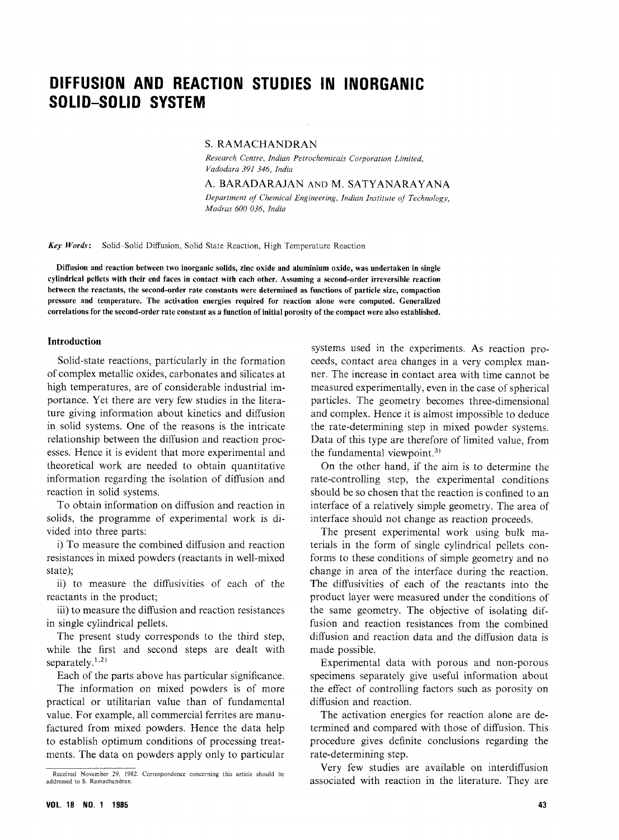## DIFFUSION AND REACTION STUDIES IN INORGANIC SOLID-SOLID SYSTEM

S. RAMACHANDRAN<br>Research Centre, Indian Petrochemicals Corporation Limited. Vadodara 391 346, India Vadodara 391 346, India

A. BARADARAJAN AND M. SATYANARAYANA

 $\mathbf{M}$   $\mathbf{J}$  = CO 0.26  $\mathbf{I}$  Fig.  $M_{\rm H}$  and  $M_{\rm O}$  000 030,  $M_{\rm H}$ 

Key Words: Solid-Solid Diffusion, Solid State Reaction, High Temperature Reaction

Diffusion and reaction between two inorganic solids, zinc oxide and aluminium oxide, was undertaken in single between the reactants, the second-order rate constants were determined as functions of particle size, compaction pressure and temperature. The activation energies required for reaction alone were computed. Generalized correlations for the second-order rate constant as a function of initial porosity of the compact were also established.

#### Introduction

Solid-state reactions, particularly in the formation<br>of complex metallic oxides, carbonates and silicates at high temperatures, are of considerable industrial importance. Yet there are very few studies in the literature giving information about kinetics and diffusion  $\frac{1}{\sqrt{1-\frac{1}{\sqrt{1-\frac{1}{\sqrt{1-\frac{1}{\sqrt{1-\frac{1}{\sqrt{1-\frac{1}{\sqrt{1-\frac{1}{\sqrt{1-\frac{1}{\sqrt{1-\frac{1}{\sqrt{1-\frac{1}{\sqrt{1-\frac{1}{\sqrt{1-\frac{1}{\sqrt{1-\frac{1}{\sqrt{1-\frac{1}{\sqrt{1-\frac{1}{\sqrt{1-\frac{1}{\sqrt{1-\frac{1}{\sqrt{1-\frac{1}{\sqrt{1-\frac{1}{\sqrt{1-\frac{1}{\sqrt{1-\frac{1}{\sqrt{1-\frac{1}{\sqrt{1-\frac{1}{\sqrt{1-\frac{1}{\sqrt{1-\frac{1$ in solid systems. One of the reasons is the intricate esses. Hence it is evident that more experimental and theoratical work are needed to obtain quantitative theoretical work are needed to obtain quantitative  $\frac{1}{\sqrt{1-\frac{1}{\sqrt{1-\frac{1}{\sqrt{1-\frac{1}{\sqrt{1-\frac{1}{\sqrt{1-\frac{1}{\sqrt{1-\frac{1}{\sqrt{1-\frac{1}{\sqrt{1-\frac{1}{\sqrt{1-\frac{1}{\sqrt{1-\frac{1}{\sqrt{1-\frac{1}{\sqrt{1-\frac{1}{\sqrt{1-\frac{1}{\sqrt{1-\frac{1}{\sqrt{1-\frac{1}{\sqrt{1-\frac{1}{\sqrt{1-\frac{1}{\sqrt{1-\frac{1}{\sqrt{1-\frac{1}{\sqrt{1-\frac{1}{\sqrt{1-\frac{1}{\sqrt{1-\frac{1}{\sqrt{1-\frac{1}{\sqrt{1-\frac{1$ reaction in solid system

 $\alpha$  objects the programme of experimental work is disolids, the programme of experimental work is di-

i) To measure the combined diffusion and reaction resistances in mixed powders (reactants in well-mixed  $\text{state}$ state);

ii) to measure the diffusivities of each of the

iii) to measure the diffusion and reaction resistances  $\sum_{i=1}^n$  to  $\sum_{i=1}^n$  to measure the diffusion resistance response to  $\sum_{i=1}^n$  $\frac{1}{2}$ 

The present study corresponds to the third step, while the first and second steps are dealt with separately. $1,2$ )

Each of the parts above has particular significance.<br>The information on mixed powders is of more practical or utilitarian value than of fundamental value. For example, all commercial ferrites are manufactured from mixed powders. Hence the data help to establish optimum conditions of processing treatments. The data on powders apply only to particular  $\frac{1}{\sqrt{2}}$  and  $\frac{1}{\sqrt{2}}$  and  $\frac{1}{\sqrt{2}}$  and  $\frac{1}{\sqrt{2}}$  and  $\frac{1}{\sqrt{2}}$  and  $\frac{1}{\sqrt{2}}$  and  $\frac{1}{\sqrt{2}}$  and  $\frac{1}{\sqrt{2}}$  and  $\frac{1}{\sqrt{2}}$  and  $\frac{1}{\sqrt{2}}$  and  $\frac{1}{\sqrt{2}}$  and  $\frac{1}{\sqrt{2}}$  and  $\frac{1}{\sqrt{2}}$  and

systems used in the experiments. As reaction proceeds, contact area changes in a very complex manner. The increase in contact area with time cannot be measured experimentally, even in the case of spherical mentiales. The compating heavily, the case of spherical particles. The geometry becomes three-dimensional and complex. Hence it is almost impossible to deduce the rate-determining step in mixed powder systems. Data of this type are therefore of limited value, from the fundamental viewpoint.<sup>3)</sup>

On the other hand, if the aim is to determine the rate-controlling step, the experimental conditions should be so chosen that the reaction is confined to an interface of a relatively simple geometry. The area of interface should not change as reaction proceeds.

The present experimental work using bulk materials in the form of single cylindrical pellets conforms to these conditions of simple geometry and no  $f_{\text{R}}$  forms to the interface during the receiver change in area of the interface during the reaction. The diffusivities of each of the reactants into the product layer were measured under the conditions of product layer were measured under the conditions of the same geometry. The objective of isolating diffusion and reaction resistances from the combined<br>diffusion and reaction data and the diffusion data is made possible.

Experimental data with porous and non-porous specimens separately give useful information about<br>the effect of controlling factors such as porosity on diffusion and reaction.

diffusion and reaction. The activation energies for reaction alone are de $t_{\text{max}}$  and  $t_{\text{max}}$  definite conclusions recording the procedure gives definite conclusions regarding the rate-determining step.

Very few studies are available on interdiffusion associated with reaction in the literature. They are

Received November 29, 1982. Correspondence concerning this article should be addressed to S. Ramachandran.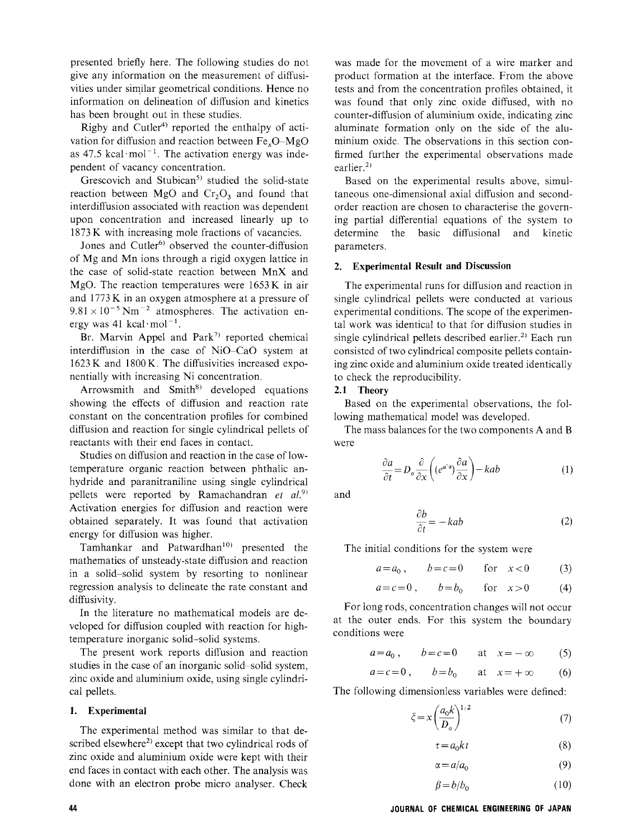presented briefly here. The following studies do not vities under similar geometrical conditions. Hence no information on delineation of diffusion and kinetics. has been brought out in these studies.

Rigby and Cutler<sup>4)</sup> reported the enthalpy of activation for diffusion and reaction between  $Fe$ ,  $O-MgO$ as  $47.5$  kcal·mol<sup>-1</sup>. The activation energy was independent of vacancy concentration.

Grescovich and Stubican<sup>5)</sup> studied the solid-st reaction between MgO and  $Cr_2O_3$  and found that interdiffusion associated with reaction was dependent upon concentration and increased linearly up to 1873 K with increasing mole fractions of vacancies.<br>Jones and Cutler<sup>6)</sup> observed the counter-diffusion

of Mg and Mn ions through a rigid oxygen lattice in the case of solid-state reaction between MnX and MgO. The reaction temperatures were  $1653K$  in air and  $1773K$  in an oxygen atmosphere at a pressure of  $9.81 \times 10^{-5}$  Nm<sup>-2</sup> atmospheres. The activation energy was 41 kcal·mol<sup>-1</sup>.

Br. Marvin Appel and Park<sup>7)</sup> reported chemical interdiffusion in the case of NiO-CaO system at  $1623$  K and  $1800$  K. The diffusivities increased exponentially with increasing Ni concentration.

Arrowsmith and  $Smith<sup>8</sup>$  developed equations showing the effects of diffusion and reaction rate constant on the concentration profiles for combined diffusion and reaction for single cylindrical pellets of reactants with their end faces in contact.

Studies on diffusion and reaction in the case of lowtemperature organic reaction between phthalic anhydride and paranitraniline using single cylindrical hydride and paramitraniline using single cylindri pellets were reported by Ramachandran et al. Activation energies for diffusion and reaction were obtained separately. It was found that activatie

Tamhankar and Patwardhan<sup>10)</sup> presented the mathematics of unsteady-state diffusion and reaction  $\frac{1}{4}$  a solid-solid system by resorting to nonlinear regression analysis to delineate the rate constant and diffusivity.<br>In the literature no mathematical models are de-

veloped for diffusion coupled with reaction for high $v_{\text{c}}$ temperature inorganic solid-solid systems.

The present work reports diffusion and reaction studies in the case of an inorganic solid-solid system, studies in the case of an inorganic solid-solid system, zinc oxide and aluminium oxide, using single cylindrical pellets.

### 1. Experimental

The experimental method was similar to that described elsewhere<sup>2)</sup> except that two cylindrical rods of zinc oxide and aluminium oxide were kept with their end faces in contact with each other. The analysis was done with an electron probe micro englyser. Check done with an electron probe micro analyser. Check was made for the movement of a wire marker and<br>product formation at the interface. From the above tests and from the concentration profiles obtained, it was found that only zinc oxide diffused, with no counter-diffusion of aluminium office, indicating zinc aluminate formation only on the side of the aluminium oxide. The observations in this section confirmed further the experimental observations made earlier.<sup>2)</sup>

Based on the experimental results above, simultaneous one-dimensional axial diffusion and secondorder reaction are chosen to characterise the governing partial differential equations of the system to determine the basic diffusional and kinetic parameters.

# 2. Experimental Result and Discussion

 $T_{\text{traj}}$  reaction in diffusion and reaction in the set of the set of the reaction in the set of the set of the set of the set of the set of the set of the set of the set of the set of the set of the set of the set of the single cylindrical pellets were conducted at various experimental conditions. The scope of the experimental work was identical to that for diffusion studies in single cylindrical pellets described earlier.<sup>2)</sup> Each run consisted of two cylindrical composite pellets containing zinc oxide and aluminium oxide treated identically  $\epsilon$  and  $\epsilon$  the normal aluminium oxide treated in all  $\epsilon$ to check the reproducibility.

### 2.1 Theory

Based on the experimental observations, the fol-<br>lowing mathematical model was developed.

 $\sum_{\text{where}}^{\infty}$  $T$ 

$$
\frac{\partial a}{\partial t} = D_o \frac{\partial}{\partial x} \left( (e^{a'\alpha}) \frac{\partial a}{\partial x} \right) - kab \tag{1}
$$

and

$$
\frac{\partial b}{\partial t} = -kab \tag{2}
$$

The initial conditions for the system were

 $a=a_0,$   $b=c=0$  for  $x<0$  (3)

$$
a = c = 0, \qquad b = b_0 \qquad \text{for} \quad x > 0 \tag{4}
$$

at the outer ends. For this system the boundary conditions were

$$
a = a_0, \qquad b = c = 0 \qquad \text{at} \quad x = -\infty \tag{5}
$$

$$
a = c = 0, \qquad b = b_0 \qquad \text{at} \quad x = +\infty \tag{6}
$$

 $T$  following dimensionless variables variables were defined:

$$
\xi = x \left(\frac{a_0 k}{D_o}\right)^{1/2} \tag{7}
$$

$$
\tau = a_0 k t \tag{8}
$$

$$
\alpha = a/a_0 \tag{9}
$$

$$
\beta = b/b_0 \tag{10}
$$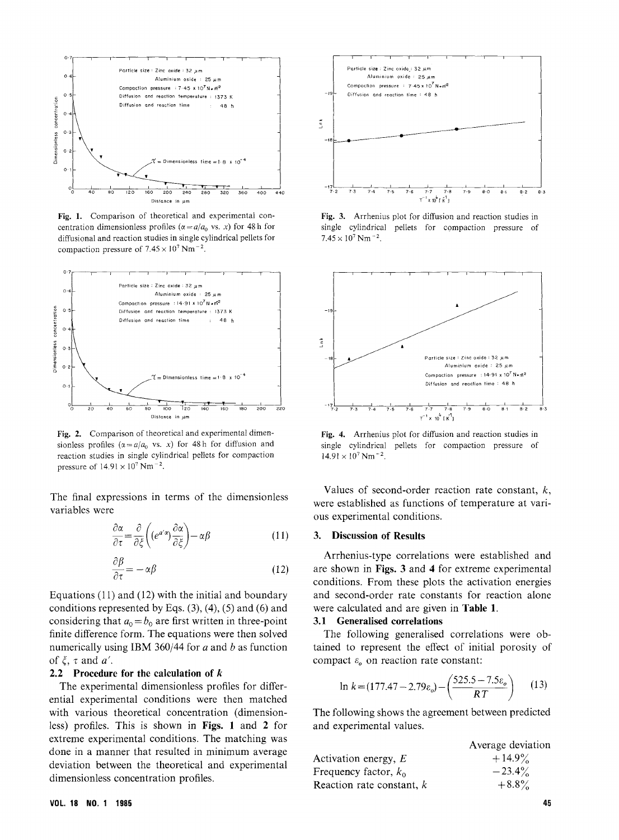

Fig. 1. Comparison of theoretical and experimental concentration dimensionless profiles ( $\alpha = a/a_0$  vs. x) for 48 h for diffusional and reaction studies in single cylindrical pellets for  $\frac{d}{dt}$  diffusion suppose in  $\frac{d}{dt}$   $\frac{d}{dt}$   $\frac{d}{dt}$   $\frac{d}{dt}$   $\frac{d}{dt}$   $\frac{d}{dt}$   $\frac{d}{dt}$   $\frac{d}{dt}$   $\frac{d}{dt}$   $\frac{d}{dt}$   $\frac{d}{dt}$   $\frac{d}{dt}$   $\frac{d}{dt}$   $\frac{d}{dt}$   $\frac{d}{dt}$   $\frac{d}{dt}$   $\frac{d}{dt}$   $\frac{d}{dt}$   $\frac{d}{dt}$  compaction pressure of 7.45 x 107 Nm  $\sim$ 



sionless profiles ( $\alpha = a/a_0$  vs. x) for 48h for diffusion and reaction studies in single cylindrical pellets for compaction pressure of  $14.91 \times 10^7$  Nm<sup>-2</sup>.

The final expressions in terms of the dimensionless variables were

$$
\frac{\partial \alpha}{\partial \tau} = \frac{\partial}{\partial \xi} \left( (e^{a'\alpha}) \frac{\partial \alpha}{\partial \xi} \right) - \alpha \beta \tag{11}
$$

$$
\frac{\partial \beta}{\partial \tau} = -\alpha \beta \tag{12}
$$

Equations (11) and (12) with the initial and boundary conditions represented by Eqs.  $(3)$ ,  $(4)$ ,  $(5)$  and  $(6)$  and considering that  $a_0 = b_0$  are first written in three-point finite difference form. The equations were then solved numerically using IBM 360/44 for  $a$  and  $b$  as function of  $\xi$ ,  $\tau$  and  $a'$ .

#### 2.2 Procedure for the calculation of  $k$

The experimental dimensionless profiles for differential experimental conditions were then matched with various theoretical concentration (dimensionless) profiles. This is shown in Figs. 1 and 2 for extreme experimental conditions. The matching was done in a manner that resulted in minimum average done in a manner that resulted in minimumaverage deviation between the theoretical and experimental dimensionless concentration profiles.



Fig. 3. Arrhenius plot for diffusion and reaction studies in single cylindrical pellets for compaction pressure of Fig. 3. Arrhenius plot for diffusion and reaction studies in<br>single cylindrical pellets for compaction pressure of<br> $7.45 \times 10^7$  Nm<sup>-2</sup>.



Fig. 4. Arrhenius plot for diffusion and reaction studies in single cylindrical pellets for compaction pressure of Extending policide in the compaction and reaction states in<br>
cylindrical pellets for compaction pressure of<br>  $\times 10^7$  Nm<sup>-2</sup>.

Values of second-order reaction rate constant,  $k$ , were established as functions of temperature at vari- $\frac{1}{2}$  were established as  $\frac{1}{2}$  as  $\frac{1}{2}$  and  $\frac{1}{2}$  and  $\frac{1}{2}$  are  $\frac{1}{2}$  and  $\frac{1}{2}$  and  $\frac{1}{2}$  are  $\frac{1}{2}$  and  $\frac{1}{2}$  and  $\frac{1}{2}$  and  $\frac{1}{2}$  and  $\frac{1}{2}$  and  $\frac{1}{2}$  and  $\frac{1}{2}$  ous experimental conditions

#### 3. Discussion of Results

Arrhenius-type correlations were established and are shown in Figs. 3 and 4 for extreme experimental conditions. From these plots the activation energies examinents. From these piets the activation energies and second-order rate constants for reaction alone were calculated and are given in Table 1.<br>3.1 Generalised correlations

3.1 Generalised correlations The following generalised correlations were obtained to represent the effect of initial porosity of compact  $\varepsilon_0$  on reaction rate constant:

$$
\ln k = (177.47 - 2.79 \varepsilon_o) - \left(\frac{525.5 - 7.5 \varepsilon_o}{RT}\right) \tag{13}
$$

 $\frac{1}{2}$  and experimental values and experimental values.

|                             | Average deviation |
|-----------------------------|-------------------|
| Activation energy, $E$      | $+14.9\%$         |
| Frequency factor, $k_0$     | $-23.4\%$         |
| Reaction rate constant, $k$ | $+8.8\%$          |
|                             |                   |